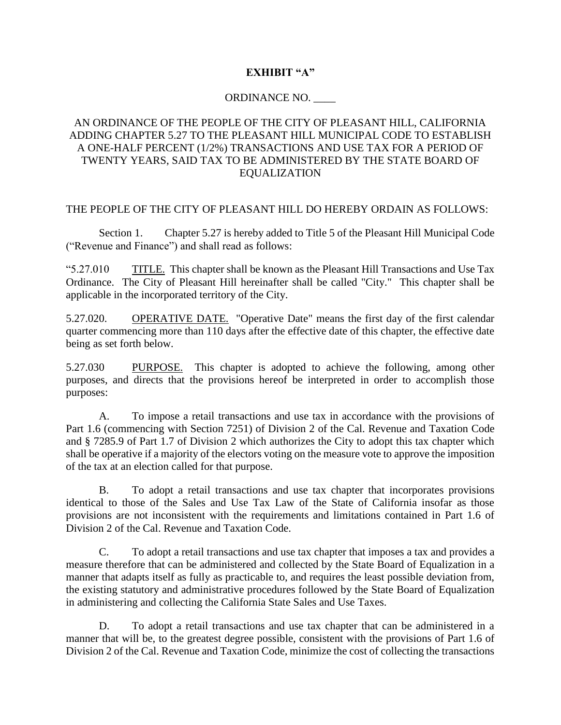## **EXHIBIT "A"**

### ORDINANCE NO. \_\_\_\_

# AN ORDINANCE OF THE PEOPLE OF THE CITY OF PLEASANT HILL, CALIFORNIA ADDING CHAPTER 5.27 TO THE PLEASANT HILL MUNICIPAL CODE TO ESTABLISH A ONE-HALF PERCENT (1/2%) TRANSACTIONS AND USE TAX FOR A PERIOD OF TWENTY YEARS, SAID TAX TO BE ADMINISTERED BY THE STATE BOARD OF EQUALIZATION

#### THE PEOPLE OF THE CITY OF PLEASANT HILL DO HEREBY ORDAIN AS FOLLOWS:

Section 1. Chapter 5.27 is hereby added to Title 5 of the Pleasant Hill Municipal Code ("Revenue and Finance") and shall read as follows:

"5.27.010 TITLE. This chapter shall be known as the Pleasant Hill Transactions and Use Tax Ordinance. The City of Pleasant Hill hereinafter shall be called "City." This chapter shall be applicable in the incorporated territory of the City.

5.27.020. OPERATIVE DATE. "Operative Date" means the first day of the first calendar quarter commencing more than 110 days after the effective date of this chapter, the effective date being as set forth below.

5.27.030 PURPOSE. This chapter is adopted to achieve the following, among other purposes, and directs that the provisions hereof be interpreted in order to accomplish those purposes:

A. To impose a retail transactions and use tax in accordance with the provisions of Part 1.6 (commencing with Section 7251) of Division 2 of the Cal. Revenue and Taxation Code and § 7285.9 of Part 1.7 of Division 2 which authorizes the City to adopt this tax chapter which shall be operative if a majority of the electors voting on the measure vote to approve the imposition of the tax at an election called for that purpose.

B. To adopt a retail transactions and use tax chapter that incorporates provisions identical to those of the Sales and Use Tax Law of the State of California insofar as those provisions are not inconsistent with the requirements and limitations contained in Part 1.6 of Division 2 of the Cal. Revenue and Taxation Code.

C. To adopt a retail transactions and use tax chapter that imposes a tax and provides a measure therefore that can be administered and collected by the State Board of Equalization in a manner that adapts itself as fully as practicable to, and requires the least possible deviation from, the existing statutory and administrative procedures followed by the State Board of Equalization in administering and collecting the California State Sales and Use Taxes.

D. To adopt a retail transactions and use tax chapter that can be administered in a manner that will be, to the greatest degree possible, consistent with the provisions of Part 1.6 of Division 2 of the Cal. Revenue and Taxation Code, minimize the cost of collecting the transactions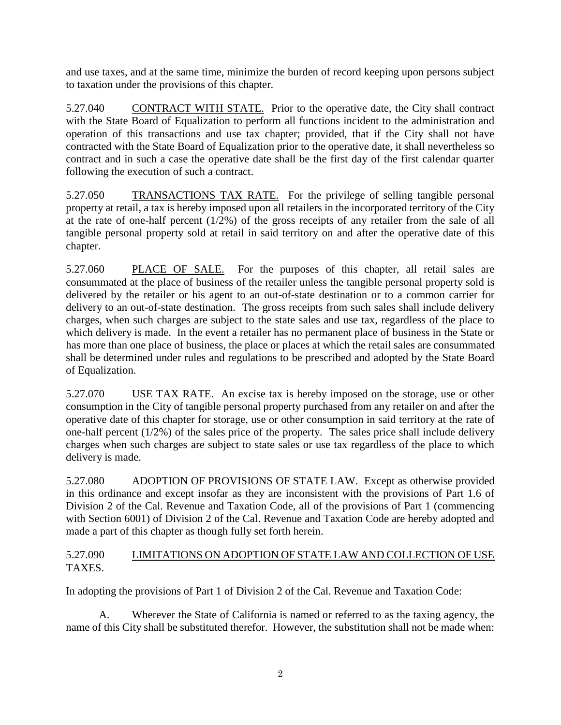and use taxes, and at the same time, minimize the burden of record keeping upon persons subject to taxation under the provisions of this chapter.

5.27.040 CONTRACT WITH STATE. Prior to the operative date, the City shall contract with the State Board of Equalization to perform all functions incident to the administration and operation of this transactions and use tax chapter; provided, that if the City shall not have contracted with the State Board of Equalization prior to the operative date, it shall nevertheless so contract and in such a case the operative date shall be the first day of the first calendar quarter following the execution of such a contract.

5.27.050 TRANSACTIONS TAX RATE. For the privilege of selling tangible personal property at retail, a tax is hereby imposed upon all retailers in the incorporated territory of the City at the rate of one-half percent (1/2%) of the gross receipts of any retailer from the sale of all tangible personal property sold at retail in said territory on and after the operative date of this chapter.

5.27.060 PLACE OF SALE. For the purposes of this chapter, all retail sales are consummated at the place of business of the retailer unless the tangible personal property sold is delivered by the retailer or his agent to an out-of-state destination or to a common carrier for delivery to an out-of-state destination. The gross receipts from such sales shall include delivery charges, when such charges are subject to the state sales and use tax, regardless of the place to which delivery is made. In the event a retailer has no permanent place of business in the State or has more than one place of business, the place or places at which the retail sales are consummated shall be determined under rules and regulations to be prescribed and adopted by the State Board of Equalization.

5.27.070 USE TAX RATE. An excise tax is hereby imposed on the storage, use or other consumption in the City of tangible personal property purchased from any retailer on and after the operative date of this chapter for storage, use or other consumption in said territory at the rate of one-half percent (1/2%) of the sales price of the property. The sales price shall include delivery charges when such charges are subject to state sales or use tax regardless of the place to which delivery is made.

5.27.080 ADOPTION OF PROVISIONS OF STATE LAW. Except as otherwise provided in this ordinance and except insofar as they are inconsistent with the provisions of Part 1.6 of Division 2 of the Cal. Revenue and Taxation Code, all of the provisions of Part 1 (commencing with Section 6001) of Division 2 of the Cal. Revenue and Taxation Code are hereby adopted and made a part of this chapter as though fully set forth herein.

# 5.27.090 LIMITATIONS ON ADOPTION OF STATE LAW AND COLLECTION OF USE TAXES.

In adopting the provisions of Part 1 of Division 2 of the Cal. Revenue and Taxation Code:

A. Wherever the State of California is named or referred to as the taxing agency, the name of this City shall be substituted therefor. However, the substitution shall not be made when: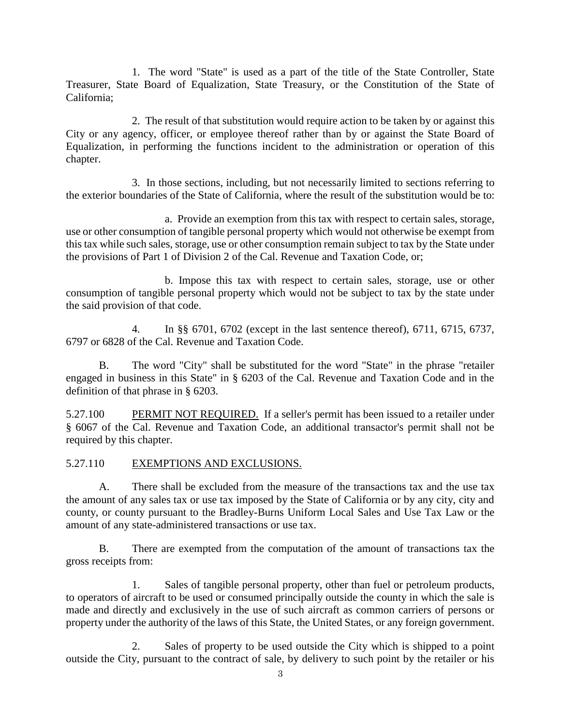1. The word "State" is used as a part of the title of the State Controller, State Treasurer, State Board of Equalization, State Treasury, or the Constitution of the State of California;

2. The result of that substitution would require action to be taken by or against this City or any agency, officer, or employee thereof rather than by or against the State Board of Equalization, in performing the functions incident to the administration or operation of this chapter.

3. In those sections, including, but not necessarily limited to sections referring to the exterior boundaries of the State of California, where the result of the substitution would be to:

a. Provide an exemption from this tax with respect to certain sales, storage, use or other consumption of tangible personal property which would not otherwise be exempt from this tax while such sales, storage, use or other consumption remain subject to tax by the State under the provisions of Part 1 of Division 2 of the Cal. Revenue and Taxation Code, or;

b. Impose this tax with respect to certain sales, storage, use or other consumption of tangible personal property which would not be subject to tax by the state under the said provision of that code.

4. In §§ 6701, 6702 (except in the last sentence thereof), 6711, 6715, 6737, 6797 or 6828 of the Cal. Revenue and Taxation Code.

B. The word "City" shall be substituted for the word "State" in the phrase "retailer engaged in business in this State" in § 6203 of the Cal. Revenue and Taxation Code and in the definition of that phrase in § 6203.

5.27.100 PERMIT NOT REQUIRED. If a seller's permit has been issued to a retailer under § 6067 of the Cal. Revenue and Taxation Code, an additional transactor's permit shall not be required by this chapter.

### 5.27.110 EXEMPTIONS AND EXCLUSIONS.

A. There shall be excluded from the measure of the transactions tax and the use tax the amount of any sales tax or use tax imposed by the State of California or by any city, city and county, or county pursuant to the Bradley-Burns Uniform Local Sales and Use Tax Law or the amount of any state-administered transactions or use tax.

B. There are exempted from the computation of the amount of transactions tax the gross receipts from:

1. Sales of tangible personal property, other than fuel or petroleum products, to operators of aircraft to be used or consumed principally outside the county in which the sale is made and directly and exclusively in the use of such aircraft as common carriers of persons or property under the authority of the laws of this State, the United States, or any foreign government.

2. Sales of property to be used outside the City which is shipped to a point outside the City, pursuant to the contract of sale, by delivery to such point by the retailer or his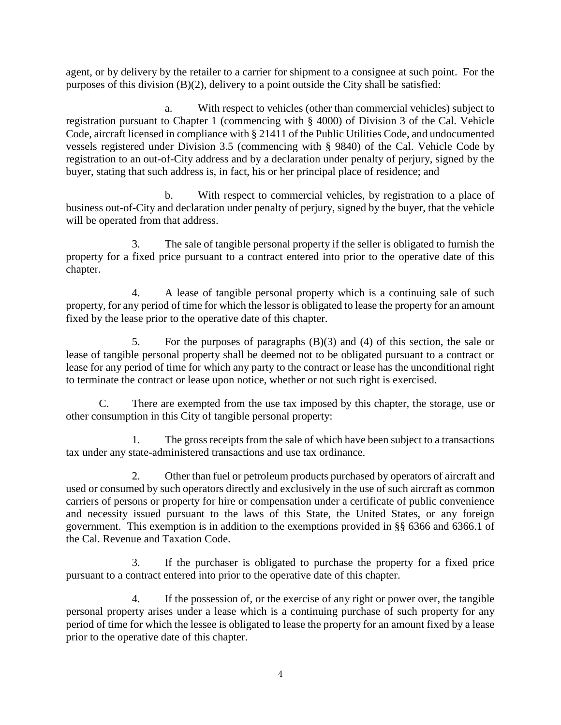agent, or by delivery by the retailer to a carrier for shipment to a consignee at such point. For the purposes of this division (B)(2), delivery to a point outside the City shall be satisfied:

a. With respect to vehicles (other than commercial vehicles) subject to registration pursuant to Chapter 1 (commencing with § 4000) of Division 3 of the Cal. Vehicle Code, aircraft licensed in compliance with § 21411 of the Public Utilities Code, and undocumented vessels registered under Division 3.5 (commencing with § 9840) of the Cal. Vehicle Code by registration to an out-of-City address and by a declaration under penalty of perjury, signed by the buyer, stating that such address is, in fact, his or her principal place of residence; and

b. With respect to commercial vehicles, by registration to a place of business out-of-City and declaration under penalty of perjury, signed by the buyer, that the vehicle will be operated from that address.

3. The sale of tangible personal property if the seller is obligated to furnish the property for a fixed price pursuant to a contract entered into prior to the operative date of this chapter.

4. A lease of tangible personal property which is a continuing sale of such property, for any period of time for which the lessor is obligated to lease the property for an amount fixed by the lease prior to the operative date of this chapter.

5. For the purposes of paragraphs (B)(3) and (4) of this section, the sale or lease of tangible personal property shall be deemed not to be obligated pursuant to a contract or lease for any period of time for which any party to the contract or lease has the unconditional right to terminate the contract or lease upon notice, whether or not such right is exercised.

C. There are exempted from the use tax imposed by this chapter, the storage, use or other consumption in this City of tangible personal property:

1. The gross receipts from the sale of which have been subject to a transactions tax under any state-administered transactions and use tax ordinance.

2. Other than fuel or petroleum products purchased by operators of aircraft and used or consumed by such operators directly and exclusively in the use of such aircraft as common carriers of persons or property for hire or compensation under a certificate of public convenience and necessity issued pursuant to the laws of this State, the United States, or any foreign government. This exemption is in addition to the exemptions provided in §§ 6366 and 6366.1 of the Cal. Revenue and Taxation Code.

3. If the purchaser is obligated to purchase the property for a fixed price pursuant to a contract entered into prior to the operative date of this chapter.

4. If the possession of, or the exercise of any right or power over, the tangible personal property arises under a lease which is a continuing purchase of such property for any period of time for which the lessee is obligated to lease the property for an amount fixed by a lease prior to the operative date of this chapter.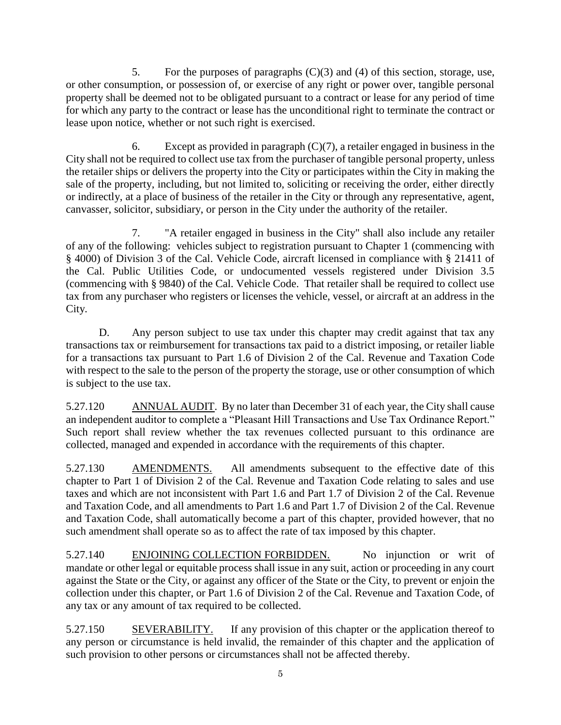5. For the purposes of paragraphs (C)(3) and (4) of this section, storage, use, or other consumption, or possession of, or exercise of any right or power over, tangible personal property shall be deemed not to be obligated pursuant to a contract or lease for any period of time for which any party to the contract or lease has the unconditional right to terminate the contract or lease upon notice, whether or not such right is exercised.

6. Except as provided in paragraph  $(C)(7)$ , a retailer engaged in business in the City shall not be required to collect use tax from the purchaser of tangible personal property, unless the retailer ships or delivers the property into the City or participates within the City in making the sale of the property, including, but not limited to, soliciting or receiving the order, either directly or indirectly, at a place of business of the retailer in the City or through any representative, agent, canvasser, solicitor, subsidiary, or person in the City under the authority of the retailer.

7. "A retailer engaged in business in the City" shall also include any retailer of any of the following: vehicles subject to registration pursuant to Chapter 1 (commencing with § 4000) of Division 3 of the Cal. Vehicle Code, aircraft licensed in compliance with § 21411 of the Cal. Public Utilities Code, or undocumented vessels registered under Division 3.5 (commencing with § 9840) of the Cal. Vehicle Code. That retailer shall be required to collect use tax from any purchaser who registers or licenses the vehicle, vessel, or aircraft at an address in the City.

D. Any person subject to use tax under this chapter may credit against that tax any transactions tax or reimbursement for transactions tax paid to a district imposing, or retailer liable for a transactions tax pursuant to Part 1.6 of Division 2 of the Cal. Revenue and Taxation Code with respect to the sale to the person of the property the storage, use or other consumption of which is subject to the use tax.

5.27.120 ANNUAL AUDIT. By no later than December 31 of each year, the City shall cause an independent auditor to complete a "Pleasant Hill Transactions and Use Tax Ordinance Report." Such report shall review whether the tax revenues collected pursuant to this ordinance are collected, managed and expended in accordance with the requirements of this chapter.

5.27.130 AMENDMENTS. All amendments subsequent to the effective date of this chapter to Part 1 of Division 2 of the Cal. Revenue and Taxation Code relating to sales and use taxes and which are not inconsistent with Part 1.6 and Part 1.7 of Division 2 of the Cal. Revenue and Taxation Code, and all amendments to Part 1.6 and Part 1.7 of Division 2 of the Cal. Revenue and Taxation Code, shall automatically become a part of this chapter, provided however, that no such amendment shall operate so as to affect the rate of tax imposed by this chapter.

5.27.140 ENJOINING COLLECTION FORBIDDEN. No injunction or writ of mandate or other legal or equitable process shall issue in any suit, action or proceeding in any court against the State or the City, or against any officer of the State or the City, to prevent or enjoin the collection under this chapter, or Part 1.6 of Division 2 of the Cal. Revenue and Taxation Code, of any tax or any amount of tax required to be collected.

5.27.150 SEVERABILITY. If any provision of this chapter or the application thereof to any person or circumstance is held invalid, the remainder of this chapter and the application of such provision to other persons or circumstances shall not be affected thereby.